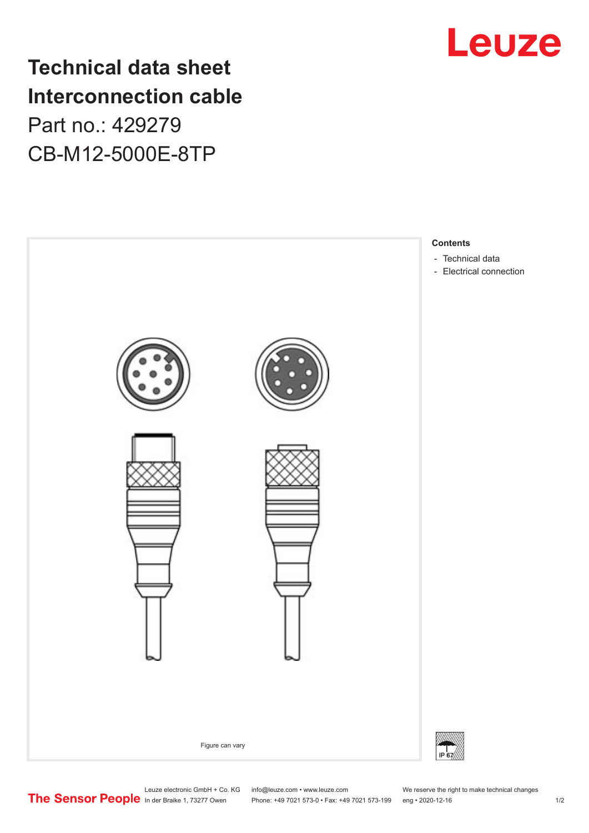# **Technical data sheet Interconnection cable** Part no.: 429279 CB-M12-5000E-8TP





Leuze electronic GmbH + Co. KG info@leuze.com • www.leuze.com We reserve the right to make technical changes

In der Braike 1, 73277 Owen Phone: +49 7021 573-0 • Fax: +49 7021 573-199 eng • 2020-12-16 1 /2